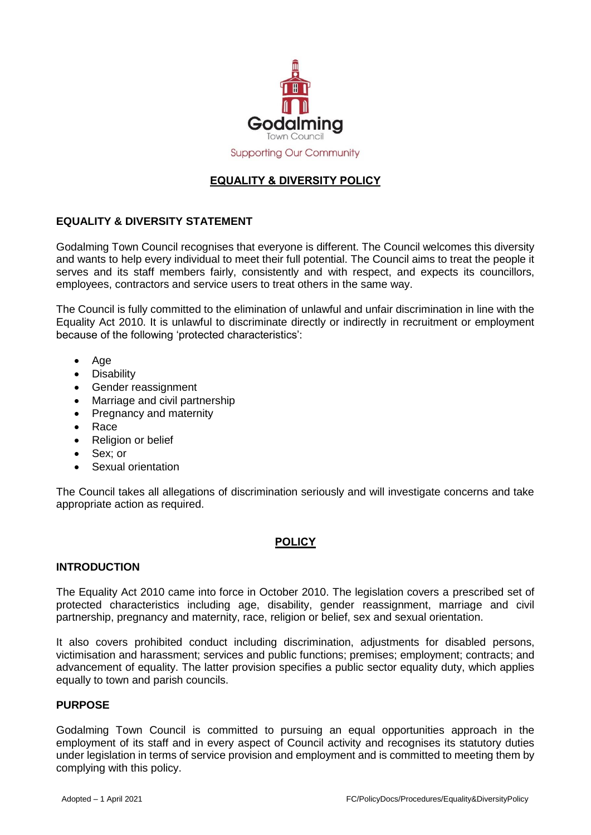

# **EQUALITY & DIVERSITY POLICY**

# **EQUALITY & DIVERSITY STATEMENT**

Godalming Town Council recognises that everyone is different. The Council welcomes this diversity and wants to help every individual to meet their full potential. The Council aims to treat the people it serves and its staff members fairly, consistently and with respect, and expects its councillors, employees, contractors and service users to treat others in the same way.

The Council is fully committed to the elimination of unlawful and unfair discrimination in line with the Equality Act 2010. It is unlawful to discriminate directly or indirectly in recruitment or employment because of the following 'protected characteristics':

- Age
- Disability
- Gender reassignment
- Marriage and civil partnership
- Pregnancy and maternity
- Race
- Religion or belief
- Sex; or
- Sexual orientation

The Council takes all allegations of discrimination seriously and will investigate concerns and take appropriate action as required.

## **POLICY**

#### **INTRODUCTION**

The Equality Act 2010 came into force in October 2010. The legislation covers a prescribed set of protected characteristics including age, disability, gender reassignment, marriage and civil partnership, pregnancy and maternity, race, religion or belief, sex and sexual orientation.

It also covers prohibited conduct including discrimination, adjustments for disabled persons, victimisation and harassment; services and public functions; premises; employment; contracts; and advancement of equality. The latter provision specifies a public sector equality duty, which applies equally to town and parish councils.

#### **PURPOSE**

Godalming Town Council is committed to pursuing an equal opportunities approach in the employment of its staff and in every aspect of Council activity and recognises its statutory duties under legislation in terms of service provision and employment and is committed to meeting them by complying with this policy.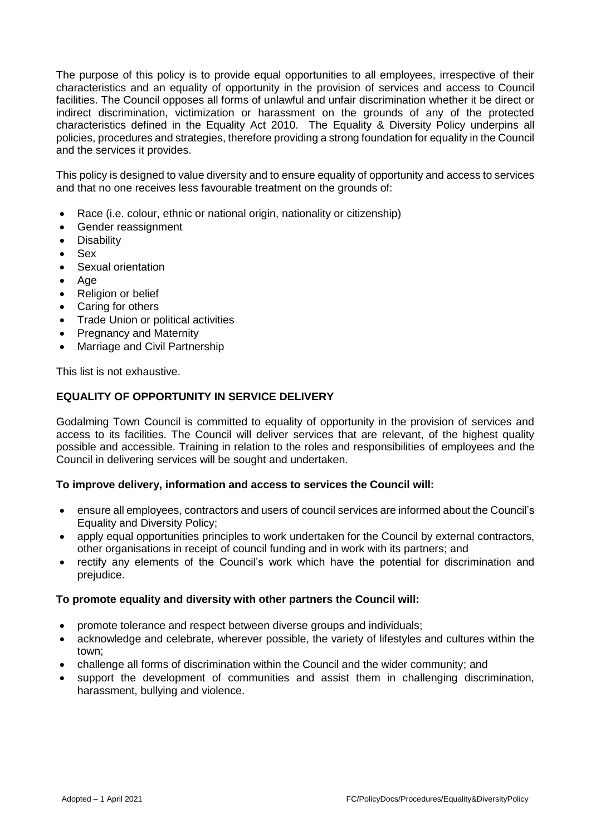The purpose of this policy is to provide equal opportunities to all employees, irrespective of their characteristics and an equality of opportunity in the provision of services and access to Council facilities. The Council opposes all forms of unlawful and unfair discrimination whether it be direct or indirect discrimination, victimization or harassment on the grounds of any of the protected characteristics defined in the Equality Act 2010. The Equality & Diversity Policy underpins all policies, procedures and strategies, therefore providing a strong foundation for equality in the Council and the services it provides.

This policy is designed to value diversity and to ensure equality of opportunity and access to services and that no one receives less favourable treatment on the grounds of:

- Race (i.e. colour, ethnic or national origin, nationality or citizenship)
- Gender reassignment
- **Disability**
- Sex
- Sexual orientation
- Age
- Religion or belief
- Caring for others
- Trade Union or political activities
- Pregnancy and Maternity
- Marriage and Civil Partnership

This list is not exhaustive.

## **EQUALITY OF OPPORTUNITY IN SERVICE DELIVERY**

Godalming Town Council is committed to equality of opportunity in the provision of services and access to its facilities. The Council will deliver services that are relevant, of the highest quality possible and accessible. Training in relation to the roles and responsibilities of employees and the Council in delivering services will be sought and undertaken.

#### **To improve delivery, information and access to services the Council will:**

- ensure all employees, contractors and users of council services are informed about the Council's Equality and Diversity Policy;
- apply equal opportunities principles to work undertaken for the Council by external contractors, other organisations in receipt of council funding and in work with its partners; and
- rectify any elements of the Council's work which have the potential for discrimination and prejudice.

#### **To promote equality and diversity with other partners the Council will:**

- promote tolerance and respect between diverse groups and individuals;
- acknowledge and celebrate, wherever possible, the variety of lifestyles and cultures within the town;
- challenge all forms of discrimination within the Council and the wider community; and
- support the development of communities and assist them in challenging discrimination, harassment, bullying and violence.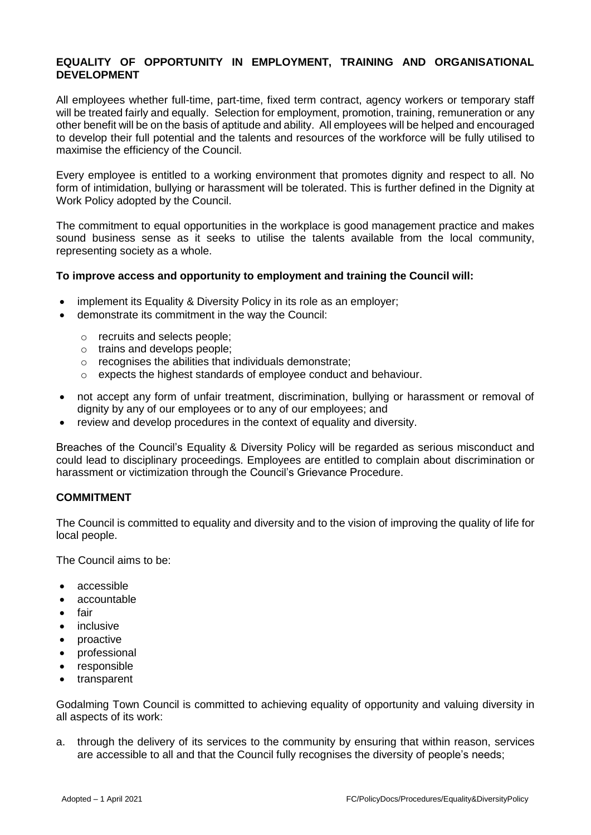## **EQUALITY OF OPPORTUNITY IN EMPLOYMENT, TRAINING AND ORGANISATIONAL DEVELOPMENT**

All employees whether full-time, part-time, fixed term contract, agency workers or temporary staff will be treated fairly and equally. Selection for employment, promotion, training, remuneration or any other benefit will be on the basis of aptitude and ability. All employees will be helped and encouraged to develop their full potential and the talents and resources of the workforce will be fully utilised to maximise the efficiency of the Council.

Every employee is entitled to a working environment that promotes dignity and respect to all. No form of intimidation, bullying or harassment will be tolerated. This is further defined in the Dignity at Work Policy adopted by the Council.

The commitment to equal opportunities in the workplace is good management practice and makes sound business sense as it seeks to utilise the talents available from the local community, representing society as a whole.

### **To improve access and opportunity to employment and training the Council will:**

- implement its Equality & Diversity Policy in its role as an employer;
- demonstrate its commitment in the way the Council:
	- o recruits and selects people;
	- o trains and develops people;
	- o recognises the abilities that individuals demonstrate;
	- o expects the highest standards of employee conduct and behaviour.
- not accept any form of unfair treatment, discrimination, bullying or harassment or removal of dignity by any of our employees or to any of our employees; and
- review and develop procedures in the context of equality and diversity.

Breaches of the Council's Equality & Diversity Policy will be regarded as serious misconduct and could lead to disciplinary proceedings. Employees are entitled to complain about discrimination or harassment or victimization through the Council's Grievance Procedure.

## **COMMITMENT**

The Council is committed to equality and diversity and to the vision of improving the quality of life for local people.

The Council aims to be:

- accessible
- accountable
- fair
- inclusive
- proactive
- professional
- responsible
- transparent

Godalming Town Council is committed to achieving equality of opportunity and valuing diversity in all aspects of its work:

a. through the delivery of its services to the community by ensuring that within reason, services are accessible to all and that the Council fully recognises the diversity of people's needs;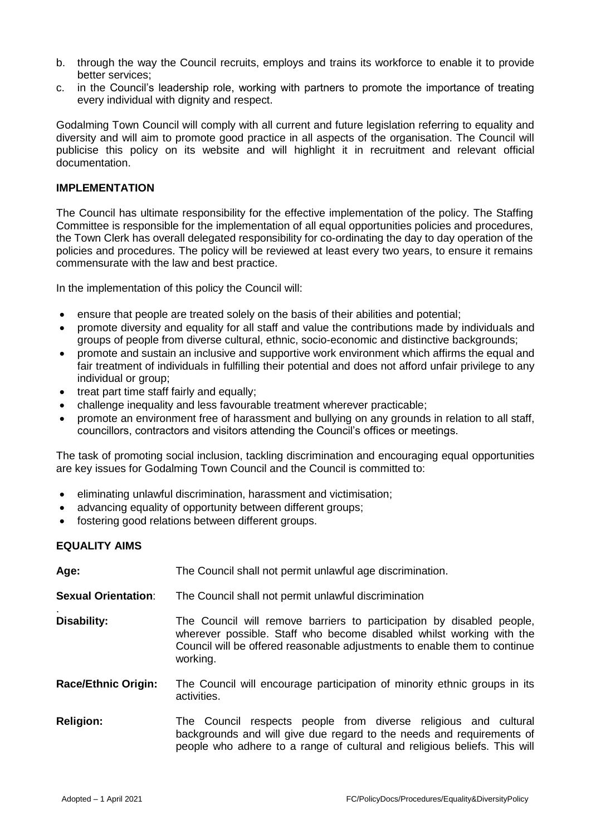- b. through the way the Council recruits, employs and trains its workforce to enable it to provide better services;
- c. in the Council's leadership role, working with partners to promote the importance of treating every individual with dignity and respect.

Godalming Town Council will comply with all current and future legislation referring to equality and diversity and will aim to promote good practice in all aspects of the organisation. The Council will publicise this policy on its website and will highlight it in recruitment and relevant official documentation.

### **IMPLEMENTATION**

The Council has ultimate responsibility for the effective implementation of the policy. The Staffing Committee is responsible for the implementation of all equal opportunities policies and procedures, the Town Clerk has overall delegated responsibility for co-ordinating the day to day operation of the policies and procedures. The policy will be reviewed at least every two years, to ensure it remains commensurate with the law and best practice.

In the implementation of this policy the Council will:

- ensure that people are treated solely on the basis of their abilities and potential;
- promote diversity and equality for all staff and value the contributions made by individuals and groups of people from diverse cultural, ethnic, socio-economic and distinctive backgrounds;
- promote and sustain an inclusive and supportive work environment which affirms the equal and fair treatment of individuals in fulfilling their potential and does not afford unfair privilege to any individual or group;
- treat part time staff fairly and equally;
- challenge inequality and less favourable treatment wherever practicable;
- promote an environment free of harassment and bullying on any grounds in relation to all staff, councillors, contractors and visitors attending the Council's offices or meetings.

The task of promoting social inclusion, tackling discrimination and encouraging equal opportunities are key issues for Godalming Town Council and the Council is committed to:

- eliminating unlawful discrimination, harassment and victimisation;
- advancing equality of opportunity between different groups;
- fostering good relations between different groups.

## **EQUALITY AIMS**

| Age:                       | The Council shall not permit unlawful age discrimination.                                                                                                                                                                              |
|----------------------------|----------------------------------------------------------------------------------------------------------------------------------------------------------------------------------------------------------------------------------------|
| <b>Sexual Orientation:</b> | The Council shall not permit unlawful discrimination                                                                                                                                                                                   |
| Disability:                | The Council will remove barriers to participation by disabled people,<br>wherever possible. Staff who become disabled whilst working with the<br>Council will be offered reasonable adjustments to enable them to continue<br>working. |
| <b>Race/Ethnic Origin:</b> | The Council will encourage participation of minority ethnic groups in its<br>activities.                                                                                                                                               |
| <b>Religion:</b>           | The Council respects people from diverse religious and cultural<br>backgrounds and will give due regard to the needs and requirements of<br>people who adhere to a range of cultural and religious beliefs. This will                  |